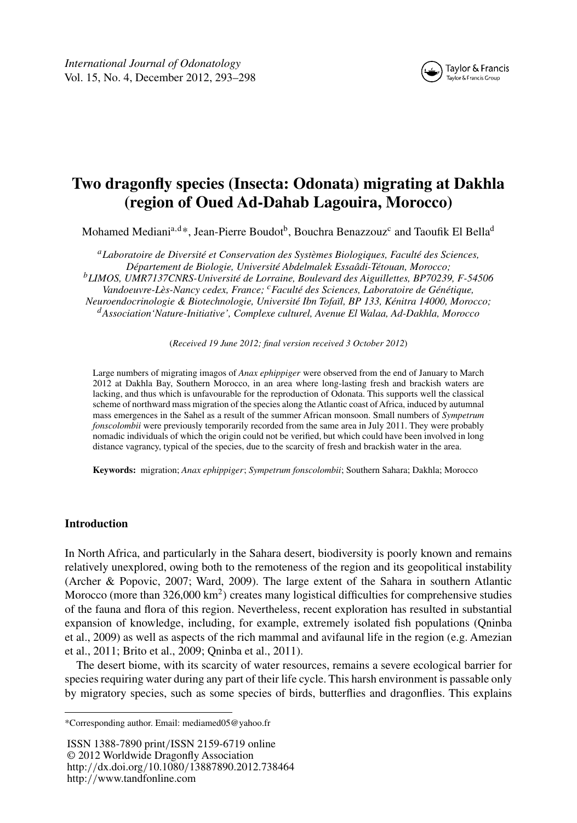

# **Two dragonfly species (Insecta: Odonata) migrating at Dakhla (region of Oued Ad-Dahab Lagouira, Morocco)**

Mohamed Mediani<sup>a,d\*</sup>, Jean-Pierre Boudot<sup>b</sup>, Bouchra Benazzouz<sup>c</sup> and Taoufik El Bella<sup>d</sup>

*<sup>a</sup>Laboratoire de Diversité et Conservation des Systèmes Biologiques, Faculté des Sciences, Département de Biologie, Université Abdelmalek Essaâdi-Tétouan, Morocco; <sup>b</sup>LIMOS, UMR7137CNRS-Université de Lorraine, Boulevard des Aiguillettes, BP70239, F-54506 Vandoeuvre-Lès-Nancy cedex, France; <sup>c</sup>Faculté des Sciences, Laboratoire de Génétique, Neuroendocrinologie & Biotechnologie, Université Ibn Tofaïl, BP 133, Kénitra 14000, Morocco; <sup>d</sup>Association'Nature-Initiative', Complexe culturel, Avenue El Walaa, Ad-Dakhla, Morocco*

(*Received 19 June 2012; final version received 3 October 2012*)

Large numbers of migrating imagos of *Anax ephippiger* were observed from the end of January to March 2012 at Dakhla Bay, Southern Morocco, in an area where long-lasting fresh and brackish waters are lacking, and thus which is unfavourable for the reproduction of Odonata. This supports well the classical scheme of northward mass migration of the species along the Atlantic coast of Africa, induced by autumnal mass emergences in the Sahel as a result of the summer African monsoon. Small numbers of *Sympetrum fonscolombii* were previously temporarily recorded from the same area in July 2011. They were probably nomadic individuals of which the origin could not be verified, but which could have been involved in long distance vagrancy, typical of the species, due to the scarcity of fresh and brackish water in the area.

**Keywords:** migration; *Anax ephippiger*; *Sympetrum fonscolombii*; Southern Sahara; Dakhla; Morocco

## **Introduction**

In North Africa, and particularly in the Sahara desert, biodiversity is poorly known and remains relatively unexplored, owing both to the remoteness of the region and its geopolitical instability (Archer & Popovic, 2007; Ward, 2009). The large extent of the Sahara in southern Atlantic Morocco (more than 326,000 km<sup>2</sup>) creates many logistical difficulties for comprehensive studies of the fauna and flora of this region. Nevertheless, recent exploration has resulted in substantial expansion of knowledge, including, for example, extremely isolated fish populations (Qninba et al., 2009) as well as aspects of the rich mammal and avifaunal life in the region (e.g. Amezian et al., 2011; Brito et al., 2009; Qninba et al., 2011).

The desert biome, with its scarcity of water resources, remains a severe ecological barrier for species requiring water during any part of their life cycle. This harsh environment is passable only by migratory species, such as some species of birds, butterflies and dragonflies. This explains

ISSN 1388-7890 print*/*ISSN 2159-6719 online © 2012 Worldwide Dragonfly Association http:*//*dx.doi.org*/*10.1080*/*13887890.2012.738464 http:*//*www.tandfonline.com

<sup>\*</sup>Corresponding author. Email: mediamed05@yahoo.fr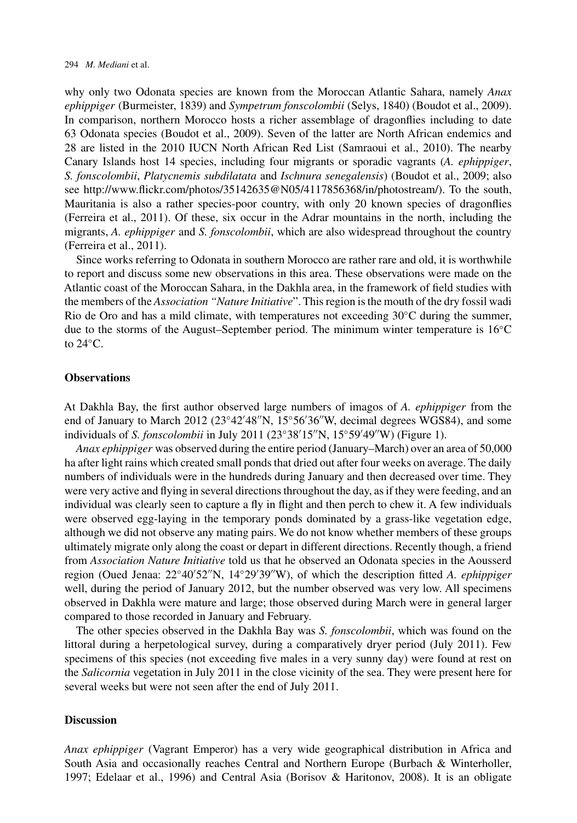why only two Odonata species are known from the Moroccan Atlantic Sahara, namely *Anax ephippiger* (Burmeister, 1839) and *Sympetrum fonscolombii* (Selys, 1840) (Boudot et al., 2009). In comparison, northern Morocco hosts a richer assemblage of dragonflies including to date 63 Odonata species (Boudot et al., 2009). Seven of the latter are North African endemics and 28 are listed in the 2010 IUCN North African Red List (Samraoui et al., 2010). The nearby Canary Islands host 14 species, including four migrants or sporadic vagrants (*A. ephippiger*, *S. fonscolombii*, *Platycnemis subdilatata* and *Ischnura senegalensis*) (Boudot et al., 2009; also see [http://www.flickr.com/photos/35142635@N05/4117856368/in/photostream/\)](http://www.flickr.com/photos/35142635@N05/4117856368/in/photostream/). To the south, Mauritania is also a rather species-poor country, with only 20 known species of dragonflies (Ferreira et al., 2011). Of these, six occur in the Adrar mountains in the north, including the migrants, *A. ephippiger* and *S. fonscolombii*, which are also widespread throughout the country (Ferreira et al., 2011).

Since works referring to Odonata in southern Morocco are rather rare and old, it is worthwhile to report and discuss some new observations in this area. These observations were made on the Atlantic coast of the Moroccan Sahara, in the Dakhla area, in the framework of field studies with the members of the *Association "Nature Initiative*". This region is the mouth of the dry fossil wadi Rio de Oro and has a mild climate, with temperatures not exceeding  $30\degree C$  during the summer, due to the storms of the August–September period. The minimum winter temperature is 16◦C to  $24^{\circ}$ C.

#### **Observations**

At Dakhla Bay, the first author observed large numbers of imagos of *A. ephippiger* from the end of January to March  $2012 (23°42'48''N, 15°56'36'W,$  decimal degrees WGS84), and some individuals of *S. fonscolombii* in July 2011 (23°38'15"N, 15°59'49"W) (Figure [1\)](#page-2-0).

*Anax ephippiger* was observed during the entire period (January–March) over an area of 50,000 ha after light rains which created small ponds that dried out after four weeks on average. The daily numbers of individuals were in the hundreds during January and then decreased over time. They were very active and flying in several directions throughout the day, as if they were feeding, and an individual was clearly seen to capture a fly in flight and then perch to chew it. A few individuals were observed egg-laying in the temporary ponds dominated by a grass-like vegetation edge, although we did not observe any mating pairs. We do not know whether members of these groups ultimately migrate only along the coast or depart in different directions. Recently though, a friend from *Association Nature Initiative* told us that he observed an Odonata species in the Aousserd region (Oued Jenaa: 22°40'52"N, 14°29'39"W), of which the description fitted *A. ephippiger* well, during the period of January 2012, but the number observed was very low. All specimens observed in Dakhla were mature and large; those observed during March were in general larger compared to those recorded in January and February.

The other species observed in the Dakhla Bay was *S. fonscolombii*, which was found on the littoral during a herpetological survey, during a comparatively dryer period (July 2011). Few specimens of this species (not exceeding five males in a very sunny day) were found at rest on the *Salicornia* vegetation in July 2011 in the close vicinity of the sea. They were present here for several weeks but were not seen after the end of July 2011.

### **Discussion**

*Anax ephippiger* (Vagrant Emperor) has a very wide geographical distribution in Africa and South Asia and occasionally reaches Central and Northern Europe (Burbach & Winterholler, 1997; Edelaar et al., 1996) and Central Asia (Borisov & Haritonov, 2008). It is an obligate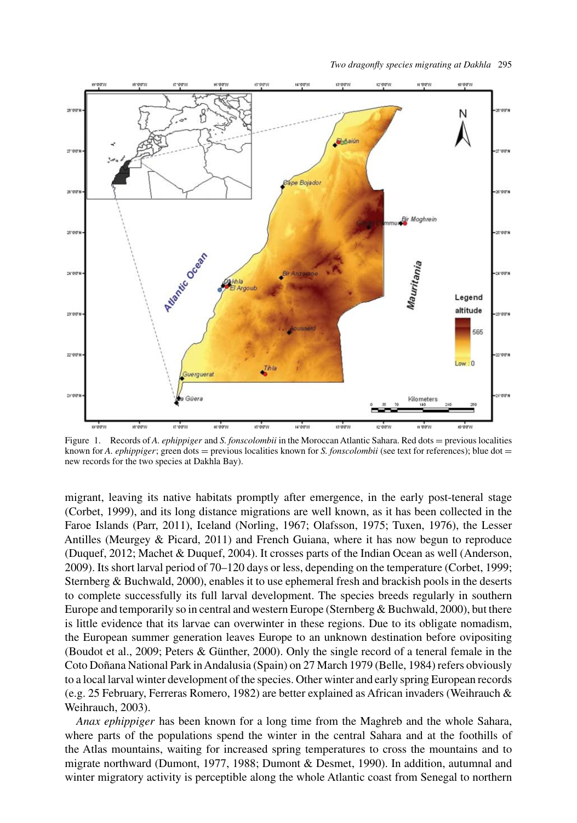<span id="page-2-0"></span>

*Two dragonfly species migrating at Dakhla* 295

Figure 1. Records of *A. ephippiger* and *S. fonscolombii* in the Moroccan Atlantic Sahara. Red dots = previous localities known for *A. ephippiger*; green dots = previous localities known for *S. fonscolombii* (see text for references); blue dot = new records for the two species at Dakhla Bay).

migrant, leaving its native habitats promptly after emergence, in the early post-teneral stage (Corbet, 1999), and its long distance migrations are well known, as it has been collected in the Faroe Islands (Parr, 2011), Iceland (Norling, 1967; Olafsson, 1975; Tuxen, 1976), the Lesser Antilles (Meurgey & Picard, 2011) and French Guiana, where it has now begun to reproduce (Duquef, 2012; Machet & Duquef, 2004). It crosses parts of the Indian Ocean as well (Anderson, 2009). Its short larval period of 70–120 days or less, depending on the temperature (Corbet, 1999; Sternberg & Buchwald, 2000), enables it to use ephemeral fresh and brackish pools in the deserts to complete successfully its full larval development. The species breeds regularly in southern Europe and temporarily so in central and western Europe (Sternberg & Buchwald, 2000), but there is little evidence that its larvae can overwinter in these regions. Due to its obligate nomadism, the European summer generation leaves Europe to an unknown destination before ovipositing (Boudot et al., 2009; Peters & Günther, 2000). Only the single record of a teneral female in the Coto Doñana National Park inAndalusia (Spain) on 27 March 1979 (Belle, 1984) refers obviously to a local larval winter development of the species. Other winter and early spring European records (e.g. 25 February, Ferreras Romero, 1982) are better explained as African invaders (Weihrauch & Weihrauch, 2003).

*Anax ephippiger* has been known for a long time from the Maghreb and the whole Sahara, where parts of the populations spend the winter in the central Sahara and at the foothills of the Atlas mountains, waiting for increased spring temperatures to cross the mountains and to migrate northward (Dumont, 1977, 1988; Dumont & Desmet, 1990). In addition, autumnal and winter migratory activity is perceptible along the whole Atlantic coast from Senegal to northern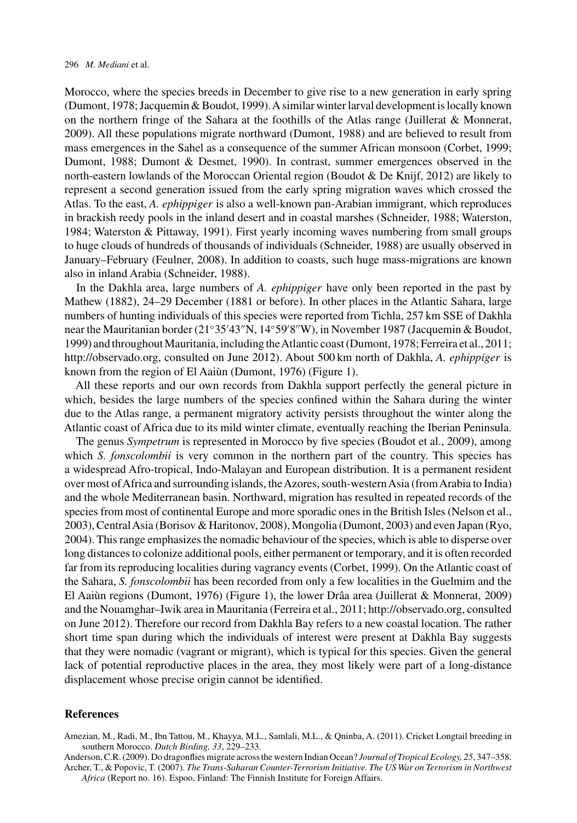Morocco, where the species breeds in December to give rise to a new generation in early spring (Dumont, 1978; Jacquemin & Boudot, 1999).A similar winter larval development is locally known on the northern fringe of the Sahara at the foothills of the Atlas range (Juillerat & Monnerat, 2009). All these populations migrate northward (Dumont, 1988) and are believed to result from mass emergences in the Sahel as a consequence of the summer African monsoon (Corbet, 1999; Dumont, 1988; Dumont & Desmet, 1990). In contrast, summer emergences observed in the north-eastern lowlands of the Moroccan Oriental region (Boudot & De Knijf, 2012) are likely to represent a second generation issued from the early spring migration waves which crossed the Atlas. To the east, *A. ephippiger* is also a well-known pan-Arabian immigrant, which reproduces in brackish reedy pools in the inland desert and in coastal marshes (Schneider, 1988; Waterston, 1984; Waterston & Pittaway, 1991). First yearly incoming waves numbering from small groups to huge clouds of hundreds of thousands of individuals (Schneider, 1988) are usually observed in January–February (Feulner, 2008). In addition to coasts, such huge mass-migrations are known also in inland Arabia (Schneider, 1988).

In the Dakhla area, large numbers of *A. ephippiger* have only been reported in the past by Mathew (1882), 24–29 December (1881 or before). In other places in the Atlantic Sahara, large numbers of hunting individuals of this species were reported from Tichla, 257 km SSE of Dakhla near the Mauritanian border (21°35′43″N, 14°59′8″W), in November 1987 (Jacquemin & Boudot, 1999) and throughout Mauritania, including theAtlantic coast (Dumont, 1978; Ferreira et al., 2011; [http://observado.org,](http://observado.org) consulted on June 2012). About 500 km north of Dakhla, *A. ephippiger* is known from the region of El Aaiùn (Dumont, 1976) (Figure [1\)](#page-2-0).

All these reports and our own records from Dakhla support perfectly the general picture in which, besides the large numbers of the species confined within the Sahara during the winter due to the Atlas range, a permanent migratory activity persists throughout the winter along the Atlantic coast of Africa due to its mild winter climate, eventually reaching the Iberian Peninsula.

The genus *Sympetrum* is represented in Morocco by five species (Boudot et al., 2009), among which *S. fonscolombii* is very common in the northern part of the country. This species has a widespread Afro-tropical, Indo-Malayan and European distribution. It is a permanent resident over most of Africa and surrounding islands, the Azores, south-western Asia (from Arabia to India) and the whole Mediterranean basin. Northward, migration has resulted in repeated records of the species from most of continental Europe and more sporadic ones in the British Isles (Nelson et al., 2003), CentralAsia (Borisov & Haritonov, 2008), Mongolia (Dumont, 2003) and even Japan (Ryo, 2004). This range emphasizes the nomadic behaviour of the species, which is able to disperse over long distances to colonize additional pools, either permanent or temporary, and it is often recorded far from its reproducing localities during vagrancy events (Corbet, 1999). On the Atlantic coast of the Sahara, *S. fonscolombii* has been recorded from only a few localities in the Guelmim and the El Aaiùn regions (Dumont, 1976) (Figure [1\)](#page-2-0), the lower Drâa area (Juillerat & Monnerat, 2009) and the Nouamghar–Iwik area in Mauritania (Ferreira et al., 2011; [http://observado.org,](http://observado.org) consulted on June 2012). Therefore our record from Dakhla Bay refers to a new coastal location. The rather short time span during which the individuals of interest were present at Dakhla Bay suggests that they were nomadic (vagrant or migrant), which is typical for this species. Given the general lack of potential reproductive places in the area, they most likely were part of a long-distance displacement whose precise origin cannot be identified.

#### **References**

Amezian, M., Radi, M., Ibn Tattou, M., Khayya, M.L., Samlali, M.L., & Qninba, A. (2011). Cricket Longtail breeding in southern Morocco. *Dutch Birding, 33*, 229–233.

Anderson, C.R. (2009). Do dragonflies migrate across the western Indian Ocean? *Journal of Tropical Ecology, 25*, 347–358. Archer, T., & Popovic, T. (2007). *The Trans-Saharan Counter-Terrorism Initiative. The US War on Terrorism in Northwest*

*Africa* (Report no. 16). Espoo, Finland: The Finnish Institute for Foreign Affairs.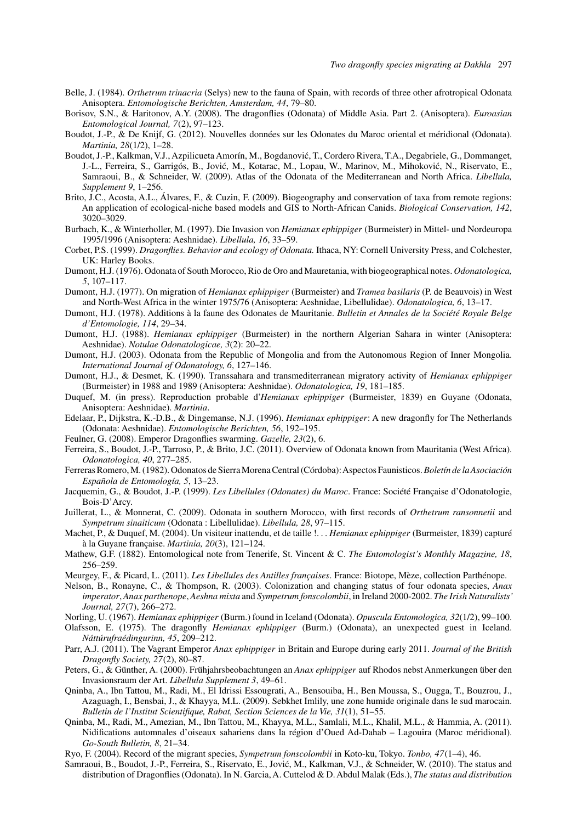- Belle, J. (1984). *Orthetrum trinacria* (Selys) new to the fauna of Spain, with records of three other afrotropical Odonata Anisoptera. *Entomologische Berichten, Amsterdam, 44*, 79–80.
- Borisov, S.N., & Haritonov, A.Y. (2008). The dragonflies (Odonata) of Middle Asia. Part 2. (Anisoptera). *Euroasian Entomological Journal, 7*(2), 97–123.
- Boudot, J.-P., & De Knijf, G. (2012). Nouvelles données sur les Odonates du Maroc oriental et méridional (Odonata). *Martinia, 28*(1/2), 1–28.
- Boudot, J.-P., Kalkman, V.J., Azpilicueta Amorín, M., Bogdanović, T., Cordero Rivera, T.A., Degabriele, G., Dommanget, J.-L., Ferreira, S., Garrigós, B., Jović, M., Kotarac, M., Lopau, W., Marinov, M., Mihoković, N., Riservato, E., Samraoui, B., & Schneider, W. (2009). Atlas of the Odonata of the Mediterranean and North Africa. *Libellula, Supplement 9*, 1–256.
- Brito, J.C., Acosta, A.L., Álvares, F., & Cuzin, F. (2009). Biogeography and conservation of taxa from remote regions: An application of ecological-niche based models and GIS to North-African Canids. *Biological Conservation, 142*, 3020–3029.
- Burbach, K., & Winterholler, M. (1997). Die Invasion von *Hemianax ephippiger* (Burmeister) in Mittel- und Nordeuropa 1995/1996 (Anisoptera: Aeshnidae). *Libellula, 16*, 33–59.
- Corbet, P.S. (1999). *Dragonflies. Behavior and ecology of Odonata.* Ithaca, NY: Cornell University Press, and Colchester, UK: Harley Books.
- Dumont, H.J. (1976). Odonata of South Morocco, Rio de Oro and Mauretania, with biogeographical notes. *Odonatologica, 5*, 107–117.
- Dumont, H.J. (1977). On migration of *Hemianax ephippiger* (Burmeister) and *Tramea basilaris* (P. de Beauvois) in West and North-West Africa in the winter 1975/76 (Anisoptera: Aeshnidae, Libellulidae). *Odonatologica, 6*, 13–17.
- Dumont, H.J. (1978). Additions à la faune des Odonates de Mauritanie. *Bulletin et Annales de la Société Royale Belge d'Entomologie, 114*, 29–34.
- Dumont, H.J. (1988). *Hemianax ephippiger* (Burmeister) in the northern Algerian Sahara in winter (Anisoptera: Aeshnidae). *Notulae Odonatologicae, 3*(2): 20–22.
- Dumont, H.J. (2003). Odonata from the Republic of Mongolia and from the Autonomous Region of Inner Mongolia. *International Journal of Odonatology, 6*, 127–146.
- Dumont, H.J., & Desmet, K. (1990). Transsahara and transmediterranean migratory activity of *Hemianax ephippiger* (Burmeister) in 1988 and 1989 (Anisoptera: Aeshnidae). *Odonatologica, 19*, 181–185.
- Duquef, M. (in press). Reproduction probable d'*Hemianax ephippiger* (Burmeister, 1839) en Guyane (Odonata, Anisoptera: Aeshnidae). *Martinia*.
- Edelaar, P., Dijkstra, K.-D.B., & Dingemanse, N.J. (1996). *Hemianax ephippiger*: A new dragonfly for The Netherlands (Odonata: Aeshnidae). *Entomologische Berichten, 56*, 192–195.
- Feulner, G. (2008). Emperor Dragonflies swarming. *Gazelle, 23*(2), 6.
- Ferreira, S., Boudot, J.-P., Tarroso, P., & Brito, J.C. (2011). Overview of Odonata known from Mauritania (West Africa). *Odonatologica, 40*, 277–285.
- Ferreras Romero, M. (1982). Odonatos de Sierra Morena Central (Córdoba):Aspectos Faunisticos.*Boletín de la Asociación Española de Entomología, 5*, 13–23.
- Jacquemin, G., & Boudot, J.-P. (1999). *Les Libellules (Odonates) du Maroc*. France: Société Française d'Odonatologie, Bois-D'Arcy.
- Juillerat, L., & Monnerat, C. (2009). Odonata in southern Morocco, with first records of *Orthetrum ransonnetii* and *Sympetrum sinaiticum* (Odonata : Libellulidae). *Libellula, 28*, 97–115.
- Machet, P., & Duquef, M. (2004). Un visiteur inattendu, et de taille !*... Hemianax ephippiger* (Burmeister, 1839) capturé à la Guyane française. *Martinia, 20*(3), 121–124.
- Mathew, G.F. (1882). Entomological note from Tenerife, St. Vincent & C. *The Entomologist's Monthly Magazine, 18*, 256–259.
- Meurgey, F., & Picard, L. (2011). *Les Libellules des Antilles françaises*. France: Biotope, Mèze, collection Parthénope.
- Nelson, B., Ronayne, C., & Thompson, R. (2003). Colonization and changing status of four odonata species, *Anax imperator*, *Anax parthenope*, *Aeshna mixta* and *Sympetrum fonscolombii*, in Ireland 2000-2002. *The Irish Naturalists' Journal, 27*(7), 266–272.
- Norling, U. (1967). *Hemianax ephippiger* (Burm.) found in Iceland (Odonata). *Opuscula Entomologica, 32*(1/2), 99–100.
- Olafsson, E. (1975). The dragonfly *Hemianax ephippiger* (Burm.) (Odonata), an unexpected guest in Iceland. *Náttúrufraédingurinn, 45*, 209–212.
- Parr, A.J. (2011). The Vagrant Emperor *Anax ephippiger* in Britain and Europe during early 2011. *Journal of the British Dragonfly Society, 27*(2), 80–87.
- Peters, G., & Günther, A. (2000). Frühjahrsbeobachtungen an *Anax ephippiger* auf Rhodos nebst Anmerkungen über den Invasionsraum der Art. *Libellula Supplement 3*, 49–61.
- Qninba, A., Ibn Tattou, M., Radi, M., El Idrissi Essougrati, A., Bensouiba, H., Ben Moussa, S., Ougga, T., Bouzrou, J., Azaguagh, I., Bensbai, J., & Khayya, M.L. (2009). Sebkhet Imlily, une zone humide originale dans le sud marocain. *Bulletin de l'Institut Scientifique, Rabat, Section Sciences de la Vie, 31*(1), 51–55.
- Qninba, M., Radi, M., Amezian, M., Ibn Tattou, M., Khayya, M.L., Samlali, M.L., Khalil, M.L., & Hammia, A. (2011). Nidifications automnales d'oiseaux sahariens dans la région d'Oued Ad-Dahab – Lagouira (Maroc méridional). *Go-South Bulletin, 8*, 21–34.
- Ryo, F. (2004). Record of the migrant species, *Sympetrum fonscolombii* in Koto-ku, Tokyo. *Tonbo, 47*(1–4), 46.
- Samraoui, B., Boudot, J.-P., Ferreira, S., Riservato, E., Jović, M., Kalkman, V.J., & Schneider, W. (2010). The status and distribution of Dragonflies (Odonata). In N. Garcia, A. Cuttelod & D. Abdul Malak (Eds.), *The status and distribution*